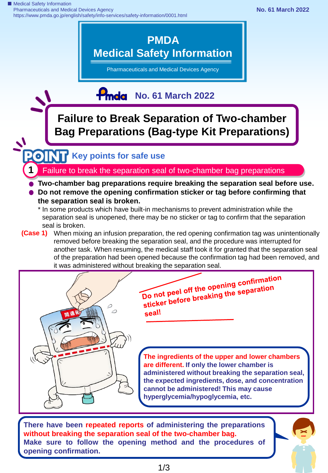■ Medical Safety Information Pharmaceuticals and Medical Devices Agency https://www.pmda.go.jp/english/safety/info-services/safety-information/0001.html



Pharmaceuticals and Medical Devices Agency

## **Poda** No. 61 March 2022

**Failure to Break Separation of Two-chamber Bag Preparations (Bag-type Kit Preparations)**

## **Key points for safe use**

**1** Failure to break the separation seal of two-chamber bag preparations

- **Two-chamber bag preparations require breaking the separation seal before use.**
- **Do not remove the opening confirmation sticker or tag before confirming that the separation seal is broken.**
	- \* In some products which have built-in mechanisms to prevent administration while the separation seal is unopened, there may be no sticker or tag to confirm that the separation seal is broken.
- **(Case 1)** When mixing an infusion preparation, the red opening confirmation tag was unintentionally removed before breaking the separation seal, and the procedure was interrupted for another task. When resuming, the medical staff took it for granted that the separation seal of the preparation had been opened because the confirmation tag had been removed, and it was administered without breaking the separation seal.



**There have been repeated reports of administering the preparations without breaking the separation seal of the two-chamber bag. Make sure to follow the opening method and the procedures of opening confirmation.**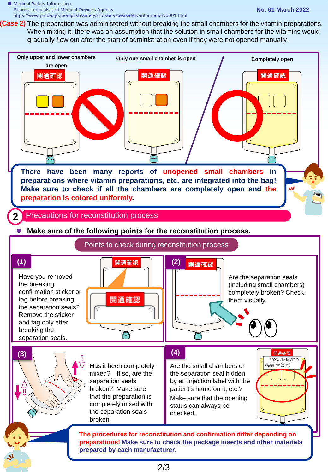■ Medical Safety Information Pharmaceuticals and Medical Devices Agency https://www.pmda.go.jp/english/safety/info-services/safety-information/0001.html

(Case 2) The preparation was administered without breaking the small chambers for the vitamin preparations. When mixing it, there was an assumption that the solution in small chambers for the vitamins would gradually flow out after the start of administration even if they were not opened manually.